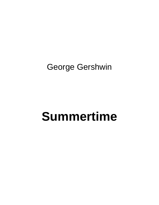## George Gershwin

## **Summertime**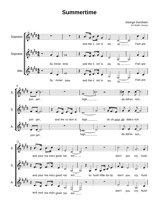## **Summertime**

George Gershwin Arr Wailin' Jennys